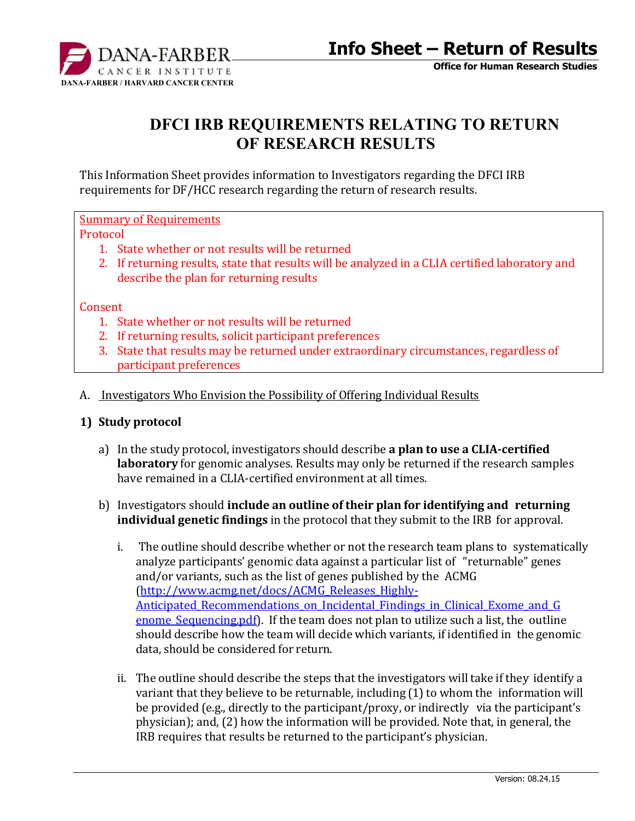

# **DFCI IRB REQUIREMENTS RELATING TO RETURN OF RESEARCH RESULTS**

This Information Sheet provides information to Investigators regarding the DFCI IRB requirements for DF/HCC research regarding the return of research results.

Summary of Requirements

Protocol

- 1. State whether or not results will be returned
- 2. If returning results, state that results will be analyzed in a CLIA certified laboratory and describe the plan for returning results

#### **Consent**

- 1. State whether or not results will be returned
- 2. If returning results, solicit participant preferences
- 3. State that results may be returned under extraordinary circumstances, regardless of participant preferences
- A. Investigators Who Envision the Possibility of Offering Individual Results

#### **1) Study protocol**

- a) In the study protocol, investigators should describe **a plan to use a CLIA-certified laboratory** for genomic analyses. Results may only be returned if the research samples have remained in a CLIA-certified environment at all times.
- b) Investigators should **include an outline of their plan for identifying and returning individual genetic findings** in the protocol that they submit to the IRB for approval.
	- i. The outline should describe whether or not the research team plans to systematically analyze participants' genomic data against a particular list of "returnable" genes and/or variants, such as the list of genes published by the [ACMG](http://www.acmg.net/docs/ACMG_Releases_Highly-Anticipated_Recommendations_on_Incidental_Findings_in_Clinical_Exome_and_Genome_Sequencing.pdf) [\(http://www.acmg.net/docs/ACMG\\_Releases\\_Highly-](http://www.acmg.net/docs/ACMG_Releases_Highly-Anticipated_Recommendations_on_Incidental_Findings_in_Clinical_Exome_and_Genome_Sequencing.pdf)Anticipated Recommendations on Incidental Findings in Clinical Exome and G enome Sequencing.pdf). If the team does not plan to utilize such a list, the outline should describe how the team will decide which variants, if identified in the genomic data, should be considered for return.
	- ii. The outline should describe the steps that the investigators will take if they identify a variant that they believe to be returnable, including (1) to whom the information will be provided (e.g., directly to the participant/proxy, or indirectly via the participant's physician); and, (2) how the information will be provided. Note that, in general, the IRB requires that results be returned to the participant's physician.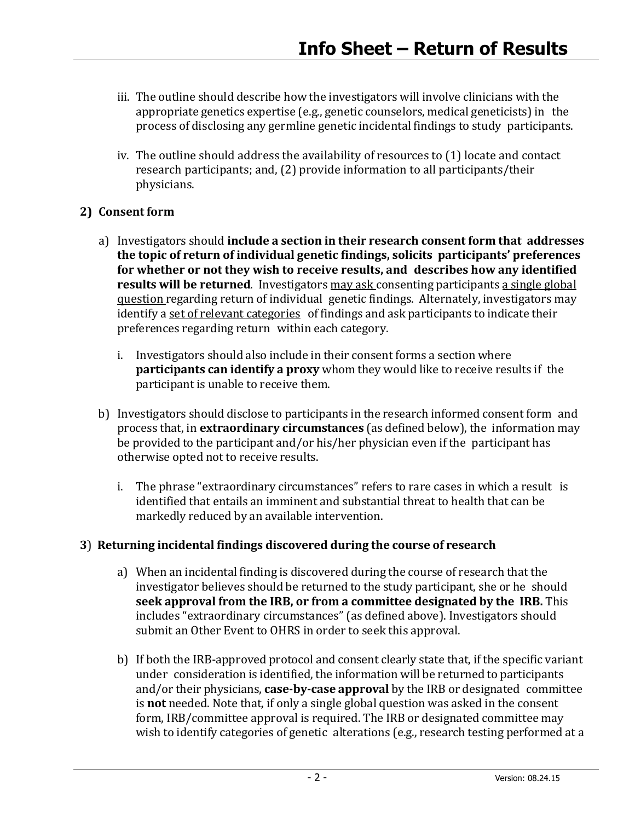- iii. The outline should describe how the investigators will involve clinicians with the appropriate genetics expertise (e.g., genetic counselors, medical geneticists) in the process of disclosing any germline genetic incidental findings to study participants.
- iv. The outline should address the availability of resources to (1) locate and contact research participants; and, (2) provide information to all participants/their physicians.

## **2) Consent form**

- a) Investigators should **include a section in their research consent form that addresses the topic of return of individual genetic findings, solicits participants' preferences for whether or not they wish to receive results, and describes how any identified results will be returned**. Investigators may ask consenting participants a single global question regarding return of individual genetic findings. Alternately, investigators may identify a set of relevant categories of findings and ask participants to indicate their preferences regarding return within each category.
	- i. Investigators should also include in their consent forms a section where **participants can identify a proxy** whom they would like to receive results if the participant is unable to receive them.
- b) Investigators should disclose to participants in the research informed consent form and process that, in **extraordinary circumstances** (as defined below), the information may be provided to the participant and/or his/her physician even if the participant has otherwise opted not to receive results.
	- i. The phrase "extraordinary circumstances" refers to rare cases in which a result is identified that entails an imminent and substantial threat to health that can be markedly reduced by an available intervention.

#### **3**) **Returning incidental findings discovered during the course of research**

- a) When an incidental finding is discovered during the course of research that the investigator believes should be returned to the study participant, she or he should **seek approval from the IRB, or from a committee designated by the IRB.** This includes "extraordinary circumstances" (as defined above). Investigators should submit an Other Event to OHRS in order to seek this approval.
- b) If both the IRB-approved protocol and consent clearly state that, if the specific variant under consideration is identified, the information will be returned to participants and/or their physicians, **case-by-case approval** by the IRB or designated committee is **not** needed. Note that, if only a single global question was asked in the consent form, IRB/committee approval is required. The IRB or designated committee may wish to identify categories of genetic alterations (e.g., research testing performed at a